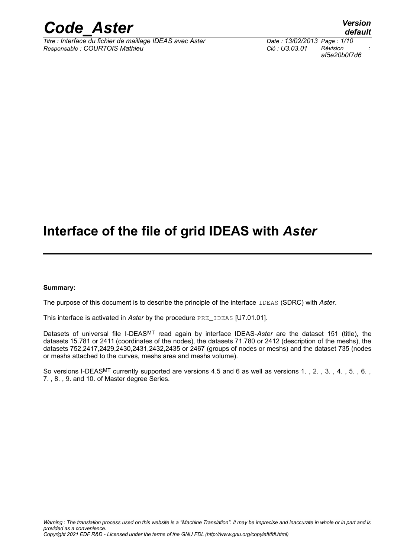

*Titre : Interface du fichier de maillage IDEAS avec Aster Date : 13/02/2013 Page : 1/10 Responsable : COURTOIS Mathieu Clé : U3.03.01 Révision :*

*default af5e20b0f7d6*

## **Interface of the file of grid IDEAS with** *Aster*

#### **Summary:**

The purpose of this document is to describe the principle of the interface IDEAS (SDRC) with *Aster*.

This interface is activated in *Aster* by the procedure PRE\_IDEAS [U7.01.01].

Datasets of universal file I-DEASMT read again by interface IDEAS-*Aster* are the dataset 151 (title), the datasets 15.781 or 2411 (coordinates of the nodes), the datasets 71.780 or 2412 (description of the meshs), the datasets 752,2417,2429,2430,2431,2432,2435 or 2467 (groups of nodes or meshs) and the dataset 735 (nodes or meshs attached to the curves, meshs area and meshs volume).

So versions I-DEAS<sup>MT</sup> currently supported are versions 4.5 and 6 as well as versions 1., 2., 3., 4., 5., 6., 7. , 8. , 9. and 10. of Master degree Series.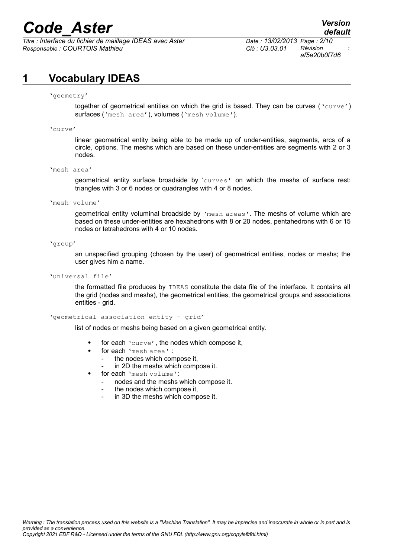$\overline{T}$ itre : *Interface du fichier de maillage IDEAS avec Aster Responsable : COURTOIS Mathieu Clé : U3.03.01 Révision :*

*af5e20b0f7d6*

## **1 Vocabulary IDEAS**

'geometry'

together of geometrical entities on which the grid is based. They can be curves ('curve') surfaces ('mesh area'), volumes ('mesh volume').

'curve'

linear geometrical entity being able to be made up of under-entities, segments, arcs of a circle, options. The meshs which are based on these under-entities are segments with 2 or 3 nodes.

'mesh area'

geometrical entity surface broadside by 'curves' on which the meshs of surface rest: triangles with 3 or 6 nodes or quadrangles with 4 or 8 nodes.

'mesh volume'

geometrical entity voluminal broadside by 'mesh areas'. The meshs of volume which are based on these under-entities are hexahedrons with 8 or 20 nodes, pentahedrons with 6 or 15 nodes or tetrahedrons with 4 or 10 nodes.

'group'

an unspecified grouping (chosen by the user) of geometrical entities, nodes or meshs; the user gives him a name.

'universal file'

the formatted file produces by IDEAS constitute the data file of the interface. It contains all the grid (nodes and meshs), the geometrical entities, the geometrical groups and associations entities - grid.

'geometrical association entity - grid'

list of nodes or meshs being based on a given geometrical entity.

- for each 'curve', the nodes which compose it,
- for each 'mesh area' :
	- the nodes which compose it,
	- in 2D the meshs which compose it.
- for each 'mesh volume':
	- nodes and the meshs which compose it.
	- the nodes which compose it,
	- in 3D the meshs which compose it.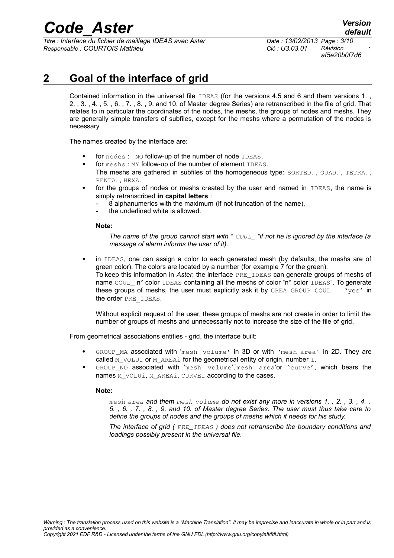*Titre : Interface du fichier de maillage IDEAS avec Aster Date : 13/02/2013 Page : 3/10 Responsable : COURTOIS Mathieu Clé : U3.03.01 Révision :*

*af5e20b0f7d6*

## **2 Goal of the interface of grid**

Contained information in the universal file IDEAS (for the versions 4.5 and 6 and them versions 1., 2. , 3. , 4. , 5. , 6. , 7. , 8. , 9. and 10. of Master degree Series) are retranscribed in the file of grid. That relates to in particular the coordinates of the nodes, the meshs, the groups of nodes and meshs. They are generally simple transfers of subfiles, except for the meshs where a permutation of the nodes is necessary.

The names created by the interface are:

- for nodes : NO follow-up of the number of node IDEAS,
- for meshs : MY follow-up of the number of element IDEAS. The meshs are gathered in subfiles of the homogeneous type: SORTED. , QUAD. , TETRA. , PENTA. , HEXA.
- for the groups of nodes or meshs created by the user and named in IDEAS, the name is simply retranscribed **in capital letters** :
	- 8 alphanumerics with the maximum (if not truncation of the name),
	- the underlined white is allowed.

#### **Note:**

*The name of the group cannot start with " COUL\_ "if not he is ignored by the interface (a message of alarm informs the user of it).*

 in IDEAS, one can assign a color to each generated mesh (by defaults, the meshs are of green color). The colors are located by a number (for example 7 for the green). To keep this information in *Aster*, the interface PRE\_IDEAS can generate groups of meshs of name COUL n° color IDEAS containing all the meshs of color "n° color IDEAS". To generate these groups of meshs, the user must explicitly ask it by CREA GROUP COUL =  $\gamma$ es' in the order PRE\_IDEAS.

Without explicit request of the user, these groups of meshs are not create in order to limit the number of groups of meshs and unnecessarily not to increase the size of the file of grid.

From geometrical associations entities - grid, the interface built:

- GROUP\_MA associated with 'mesh volume' in 3D or with 'mesh area' in 2D. They are called M\_VOLUi or M\_AREAi for the geometrical entity of origin, number  $I$ .
- GROUP NO associated with 'mesh volume','mesh area'or 'curve', which bears the names M\_VOLUi, M\_AREAi, CURVEi according to the cases.

#### **Note:**

*mesh area and them mesh volume do not exist any more in versions 1. , 2. , 3. , 4. , 5. , 6. , 7. , 8. , 9. and 10. of Master degree Series. The user must thus take care to define the groups of nodes and the groups of meshs which it needs for his study.*

*The interface of grid ( PRE\_IDEAS ) does not retranscribe the boundary conditions and loadings possibly present in the universal file.*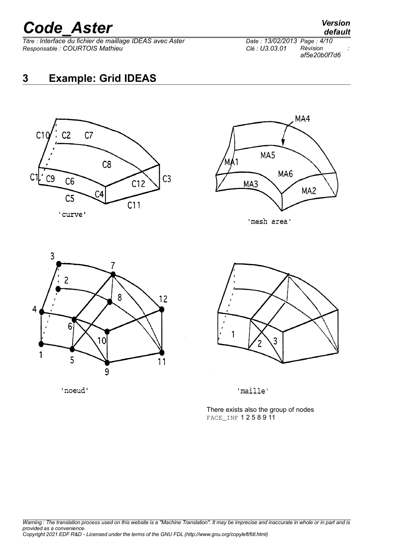*Titre : Interface du fichier de maillage IDEAS avec Aster Date : 13/02/2013 Page : 4/10 Responsable : COURTOIS Mathieu Clé : U3.03.01 Révision :*

*af5e20b0f7d6*

## **3 Example: Grid IDEAS**





'mesh area'







'maille'

There exists also the group of nodes FACE\_INF 1 2 5 8 9 11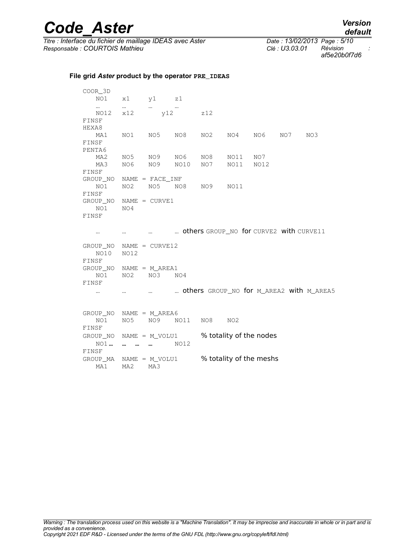$\overline{T}$ itre : *Interface du fichier de maillage IDEAS avec Aster Responsable : COURTOIS Mathieu Clé : U3.03.01 Révision :*

*af5e20b0f7d6*

#### **File grid** *Aster* **product by the operator PRE\_IDEAS**

COOR\_3D NO1 x1 y1 z1 … … … … NO12 x12 y12 z12 FINSF HEXA8 MA1 NO1 NO5 NO8 NO2 NO4 NO6 NO7 NO3 FINSF PENTA6 MA2 NO5 NO9 NO6 NO8 NO11 NO7<br>MA3 NO6 NO9 NO10 NO7 NO11 NO12 MA3 NO6 NO9 NO10 FINSF GROUP\_NO NAME = FACE\_INF NO1 NO2 NO5 NO8 NO9 NO11 FINSF GROUP\_NO NAME = CURVE1 NO1 NO4 FINSF … … … … others GROUP\_NO for CURVE2 with CURVE11 GROUP\_NO NAME = CURVE12 NO10 NO12 FINSF GROUP\_NO NAME = M\_AREA1 NO1 NO2 NO3 NO4 FINSF … … … … others GROUP\_NO for M\_AREA2 with M\_AREA5 GROUP\_NO NAME = M\_AREA6 NO1 NO5 NO9 NO11 NO8 NO2 FINSF GROUP\_NO NAME = M\_VOLU1 % totality of the nodes NO1 **… … … …** NO12 FINSF GROUP\_MA NAME =  $M_VOLU1$  % totality of the meshs MA1 MA2 MA3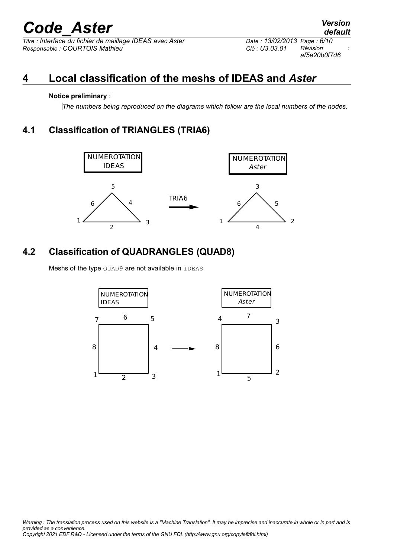$\overline{T}$ *Titre : Interface du fichier de maillage IDEAS avec Aster Responsable : COURTOIS Mathieu Clé : U3.03.01 Révision :*

*af5e20b0f7d6*

## **4 Local classification of the meshs of IDEAS and** *Aster*

### **Notice preliminary** :

*The numbers being reproduced on the diagrams which follow are the local numbers of the nodes.*

## **4.1 Classification of TRIANGLES (TRIA6)**



## **4.2 Classification of QUADRANGLES (QUAD8)**

Meshs of the type QUAD9 are not available in IDEAS

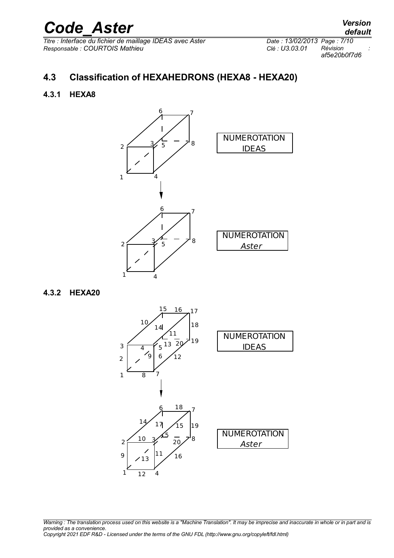*Titre : Interface du fichier de maillage IDEAS avec Aster Date : 13/02/2013 Page : 7/10 Responsable : COURTOIS Mathieu Clé : U3.03.01 Révision :*

*af5e20b0f7d6*

## **4.3 Classification of HEXAHEDRONS (HEXA8 - HEXA20)**

### **4.3.1 HEXA8**



### **4.3.2 HEXA20**



*Warning : The translation process used on this website is a "Machine Translation". It may be imprecise and inaccurate in whole or in part and is provided as a convenience. Copyright 2021 EDF R&D - Licensed under the terms of the GNU FDL (http://www.gnu.org/copyleft/fdl.html)*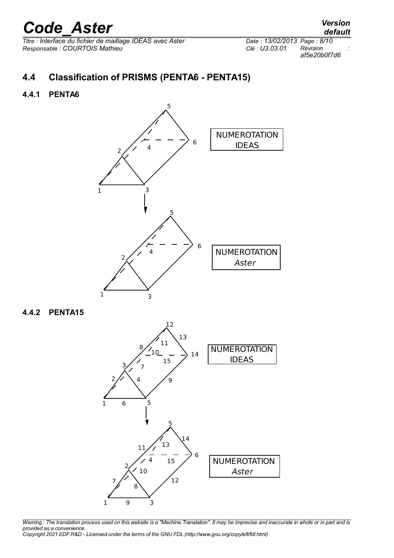*Titre : Interface du fichier de maillage IDEAS avec Aster Date : 13/02/2013 Page : 8/10 Responsable : COURTOIS Mathieu Clé : U3.03.01 Révision :*

*af5e20b0f7d6*

### **4.4.1 PENTA6**



### **4.4.2 PENTA15**



*Warning : The translation process used on this website is a "Machine Translation". It may be imprecise and inaccurate in whole or in part and is provided as a convenience. Copyright 2021 EDF R&D - Licensed under the terms of the GNU FDL (http://www.gnu.org/copyleft/fdl.html)*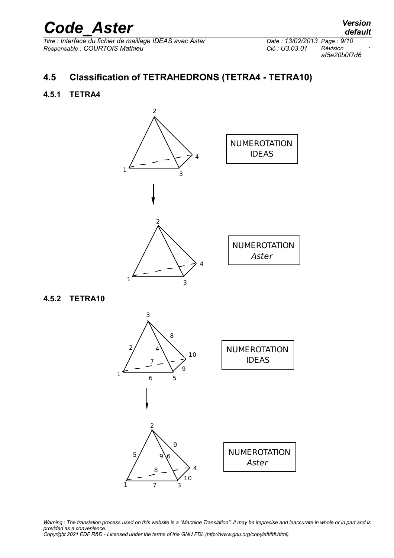*Titre : Interface du fichier de maillage IDEAS avec Aster Date : 13/02/2013 Page : 9/10 Responsable : COURTOIS Mathieu Clé : U3.03.01 Révision :*

*af5e20b0f7d6*

## **4.5 Classification of TETRAHEDRONS (TETRA4 - TETRA10)**

### **4.5.1 TETRA4**



### **4.5.2 TETRA10**



*Warning : The translation process used on this website is a "Machine Translation". It may be imprecise and inaccurate in whole or in part and is provided as a convenience. Copyright 2021 EDF R&D - Licensed under the terms of the GNU FDL (http://www.gnu.org/copyleft/fdl.html)*